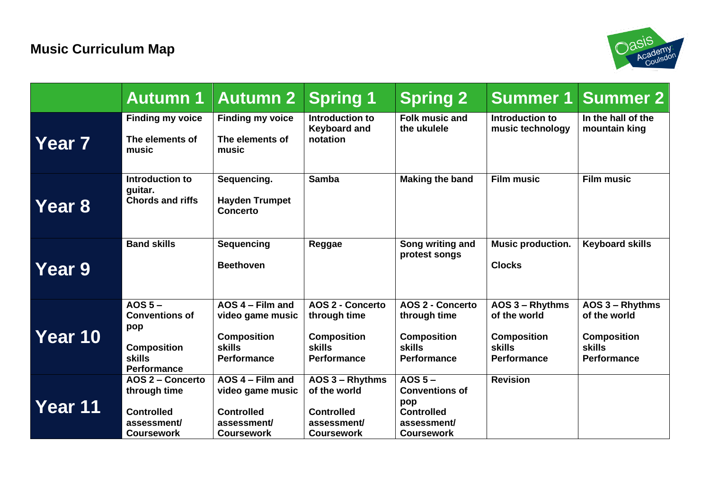

|               | <b>Autumn 1</b>                                                                                               | <b>Autumn 2</b>                                                                                     | <b>Spring 1</b>                                                                                      | <b>Spring 2</b>                                                                                           | <b>Summer 1</b>                                                                              | <b>Summer 2</b>                                                                       |
|---------------|---------------------------------------------------------------------------------------------------------------|-----------------------------------------------------------------------------------------------------|------------------------------------------------------------------------------------------------------|-----------------------------------------------------------------------------------------------------------|----------------------------------------------------------------------------------------------|---------------------------------------------------------------------------------------|
| Year 7        | <b>Finding my voice</b><br>The elements of<br>music                                                           | <b>Finding my voice</b><br>The elements of<br>music                                                 | Introduction to<br><b>Keyboard and</b><br>notation                                                   | <b>Folk music and</b><br>the ukulele                                                                      | Introduction to<br>music technology                                                          | In the hall of the<br>mountain king                                                   |
| Year 8        | Introduction to<br>guitar.<br><b>Chords and riffs</b>                                                         | Sequencing.<br><b>Hayden Trumpet</b><br><b>Concerto</b>                                             | <b>Samba</b>                                                                                         | <b>Making the band</b>                                                                                    | <b>Film music</b>                                                                            | <b>Film music</b>                                                                     |
| <b>Year 9</b> | <b>Band skills</b>                                                                                            | <b>Sequencing</b><br><b>Beethoven</b>                                                               | Reggae                                                                                               | Song writing and<br>protest songs                                                                         | Music production.<br><b>Clocks</b>                                                           | <b>Keyboard skills</b>                                                                |
| Year 10       | AOS <sub>5</sub><br><b>Conventions of</b><br>pop<br><b>Composition</b><br><b>skills</b><br><b>Performance</b> | $AOS 4 - Film and$<br>video game music<br><b>Composition</b><br><b>skills</b><br><b>Performance</b> | <b>AOS 2 - Concerto</b><br>through time<br><b>Composition</b><br><b>skills</b><br><b>Performance</b> | <b>AOS 2 - Concerto</b><br>through time<br><b>Composition</b><br><b>skills</b><br><b>Performance</b>      | AOS 3 - Rhythms<br>of the world<br><b>Composition</b><br><b>skills</b><br><b>Performance</b> | AOS 3 - Rhythms<br>of the world<br><b>Composition</b><br><b>skills</b><br>Performance |
| Year 11       | AOS 2 - Concerto<br>through time<br><b>Controlled</b><br>assessment/<br><b>Coursework</b>                     | AOS 4 - Film and<br>video game music<br><b>Controlled</b><br>assessment/<br><b>Coursework</b>       | AOS 3 - Rhythms<br>of the world<br><b>Controlled</b><br>assessment/<br><b>Coursework</b>             | AOS <sub>5</sub><br><b>Conventions of</b><br>pop<br><b>Controlled</b><br>assessment/<br><b>Coursework</b> | <b>Revision</b>                                                                              |                                                                                       |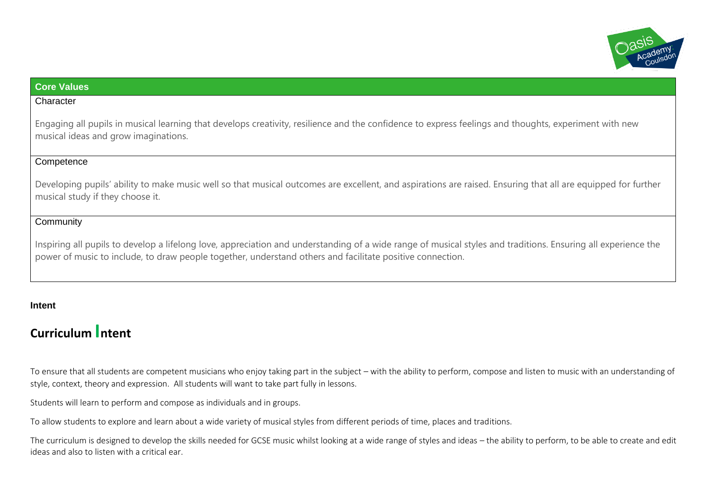

## **Core Values**

#### **Character**

Engaging all pupils in musical learning that develops creativity, resilience and the confidence to express feelings and thoughts, experiment with new musical ideas and grow imaginations.

#### **Competence**

Developing pupils' ability to make music well so that musical outcomes are excellent, and aspirations are raised. Ensuring that all are equipped for further musical study if they choose it.

### **Community**

Inspiring all pupils to develop a lifelong love, appreciation and understanding of a wide range of musical styles and traditions. Ensuring all experience the power of music to include, to draw people together, understand others and facilitate positive connection.

#### **Intent**

# **Curriculum Intent**

To ensure that all students are competent musicians who enjoy taking part in the subject – with the ability to perform, compose and listen to music with an understanding of style, context, theory and expression. All students will want to take part fully in lessons.

Students will learn to perform and compose as individuals and in groups.

To allow students to explore and learn about a wide variety of musical styles from different periods of time, places and traditions.

The curriculum is designed to develop the skills needed for GCSE music whilst looking at a wide range of styles and ideas – the ability to perform, to be able to create and edit ideas and also to listen with a critical ear.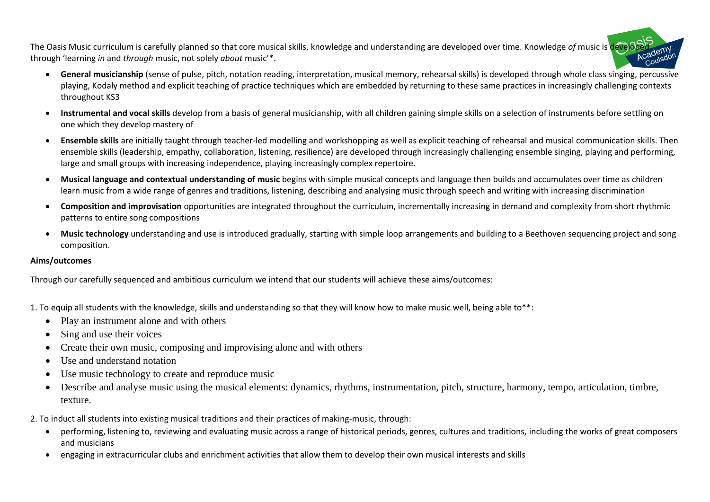The Oasis Music curriculum is carefully planned so that core musical skills, knowledge and understanding are developed over time. Knowledge *of* music is developed through 'learning *in* and *through* music, not solely *about* music'\*.

- **General musicianship** (sense of pulse, pitch, notation reading, interpretation, musical memory, rehearsal skills) is developed through whole class singing, percussive playing, Kodaly method and explicit teaching of practice techniques which are embedded by returning to these same practices in increasingly challenging contexts throughout KS3
- **Instrumental and vocal skills** develop from a basis of general musicianship, with all children gaining simple skills on a selection of instruments before settling on one which they develop mastery of
- **Ensemble skills** are initially taught through teacher-led modelling and workshopping as well as explicit teaching of rehearsal and musical communication skills. Then ensemble skills (leadership, empathy, collaboration, listening, resilience) are developed through increasingly challenging ensemble singing, playing and performing, large and small groups with increasing independence, playing increasingly complex repertoire.
- **Musical language and contextual understanding of music** begins with simple musical concepts and language then builds and accumulates over time as children learn music from a wide range of genres and traditions, listening, describing and analysing music through speech and writing with increasing discrimination
- **Composition and improvisation** opportunities are integrated throughout the curriculum, incrementally increasing in demand and complexity from short rhythmic patterns to entire song compositions
- **Music technology** understanding and use is introduced gradually, starting with simple loop arrangements and building to a Beethoven sequencing project and song composition.

#### **Aims/outcomes**

Through our carefully sequenced and ambitious curriculum we intend that our students will achieve these aims/outcomes:

1. To equip all students with the knowledge, skills and understanding so that they will know how to make music well, being able to\*\*:

- Play an instrument alone and with others
- Sing and use their voices
- Create their own music, composing and improvising alone and with others
- Use and understand notation
- Use music technology to create and reproduce music
- Describe and analyse music using the musical elements: dynamics, rhythms, instrumentation, pitch, structure, harmony, tempo, articulation, timbre, texture.

2. To induct all students into existing musical traditions and their practices of making-music, through:

- performing, listening to, reviewing and evaluating music across a range of historical periods, genres, cultures and traditions, including the works of great composers and musicians
- engaging in extracurricular clubs and enrichment activities that allow them to develop their own musical interests and skills